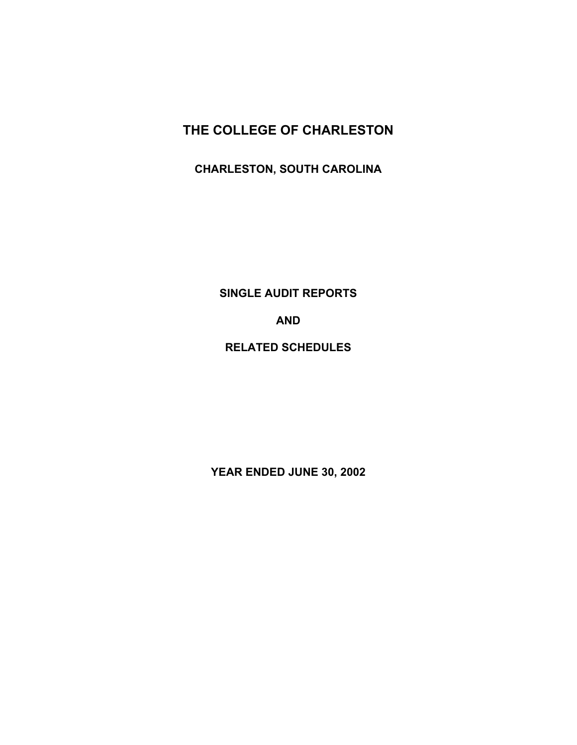# **THE COLLEGE OF CHARLESTON**

**CHARLESTON, SOUTH CAROLINA** 

**SINGLE AUDIT REPORTS** 

**AND** 

## **RELATED SCHEDULES**

**YEAR ENDED JUNE 30, 2002**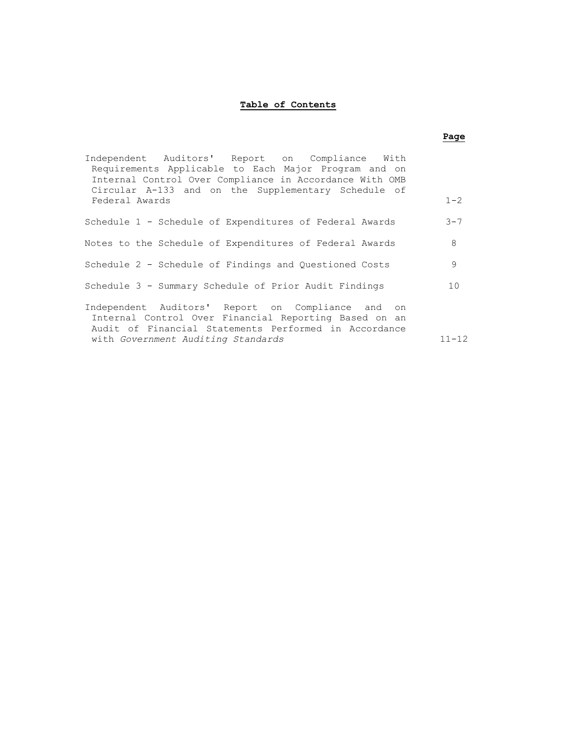## **Table of Contents**

| Independent Auditors' Report on Compliance With<br>Requirements Applicable to Each Major Program and on<br>Internal Control Over Compliance in Accordance With OMB<br>Circular A-133 and on the Supplementary Schedule of |           |
|---------------------------------------------------------------------------------------------------------------------------------------------------------------------------------------------------------------------------|-----------|
| Federal Awards                                                                                                                                                                                                            | $1 - 2$   |
| Schedule 1 - Schedule of Expenditures of Federal Awards                                                                                                                                                                   | $3 - 7$   |
| Notes to the Schedule of Expenditures of Federal Awards                                                                                                                                                                   | 8         |
| Schedule 2 - Schedule of Findings and Questioned Costs                                                                                                                                                                    | 9         |
| Schedule 3 - Summary Schedule of Prior Audit Findings                                                                                                                                                                     | 10        |
| Independent Auditors' Report on Compliance and on<br>Internal Control Over Financial Reporting Based on an<br>Audit of Financial Statements Performed in Accordance                                                       |           |
| with Government Auditing Standards                                                                                                                                                                                        | $11 - 12$ |

**Page**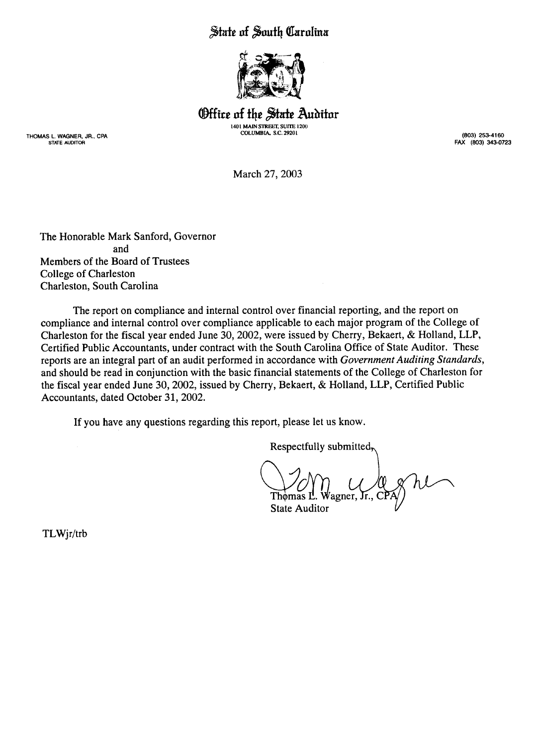## State of South Carolina



## Office of the State Auditor

1401 MAIN STREET, SUITE 1200<br>COLUMBIA, S.C. 29201

THOMAS L. WAGNER, JR., CPA

(803) 253-4160 FAX (803) 343-0723

March 27, 2003

The Honorable Mark Sanford, Governor and Members of the Board of Trustees College of Charleston Charleston, South Carolina

The report on compliance and internal control over financial reporting, and the report on compliance and internal control over compliance applicable to each major program of the College of Charleston for the fiscal year ended June 30, 2002, were issued by Cherry, Bekaert, & Holland, LLP, Certified Public Accountants, under contract with the South Carolina Office of State Auditor. These reports are an integral part of an audit performed in accordance with Government Auditing Standards, and should be read in conjunction with the basic financial statements of the College of Charleston for the fiscal year ended June 30, 2002, issued by Cherry, Bekaert, & Holland, LLP, Certified Public Accountants, dated October 31, 2002.

If you have any questions regarding this report, please let us know.

Respectfully submitted.

Thomas I Wagner, **State Auditor** 

TLWjr/trb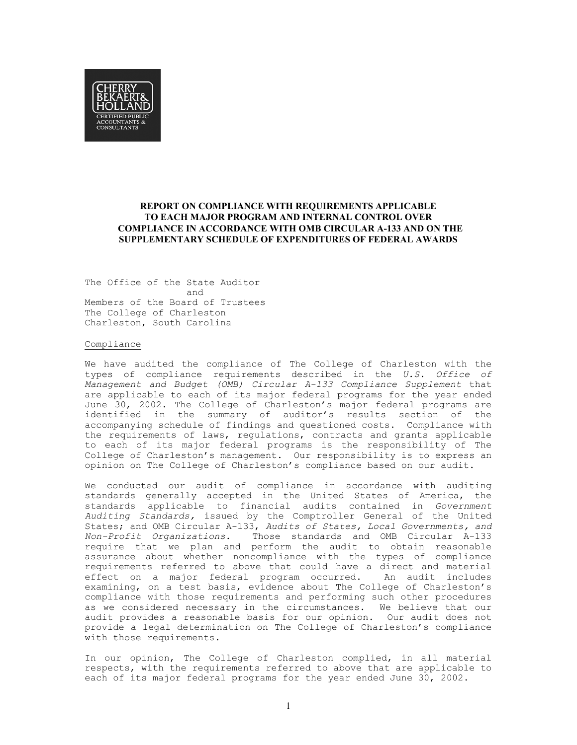

## **REPORT ON COMPLIANCE WITH REQUIREMENTS APPLICABLE TO EACH MAJOR PROGRAM AND INTERNAL CONTROL OVER COMPLIANCE IN ACCORDANCE WITH OMB CIRCULAR A-133 AND ON THE SUPPLEMENTARY SCHEDULE OF EXPENDITURES OF FEDERAL AWARDS**

The Office of the State Auditor and Members of the Board of Trustees The College of Charleston Charleston, South Carolina

#### Compliance

We have audited the compliance of The College of Charleston with the types of compliance requirements described in the *U.S. Office of Management and Budget (OMB) Circular A-133 Compliance Supplement* that are applicable to each of its major federal programs for the year ended June 30, 2002. The College of Charleston's major federal programs are identified in the summary of auditor's results section of the accompanying schedule of findings and questioned costs. Compliance with the requirements of laws, regulations, contracts and grants applicable to each of its major federal programs is the responsibility of The College of Charleston's management. Our responsibility is to express an opinion on The College of Charleston's compliance based on our audit.

We conducted our audit of compliance in accordance with auditing standards generally accepted in the United States of America, the standards applicable to financial audits contained in *Government Auditing Standards,* issued by the Comptroller General of the United States; and OMB Circular A-133, *Audits of States, Local Governments, and Non-Profit Organizations.* Those standards and OMB Circular A-133 require that we plan and perform the audit to obtain reasonable assurance about whether noncompliance with the types of compliance requirements referred to above that could have a direct and material effect on a major federal program occurred. An audit includes examining, on a test basis, evidence about The College of Charleston's compliance with those requirements and performing such other procedures as we considered necessary in the circumstances. We believe that our audit provides a reasonable basis for our opinion. Our audit does not provide a legal determination on The College of Charleston's compliance with those requirements.

In our opinion, The College of Charleston complied, in all material respects, with the requirements referred to above that are applicable to each of its major federal programs for the year ended June 30, 2002.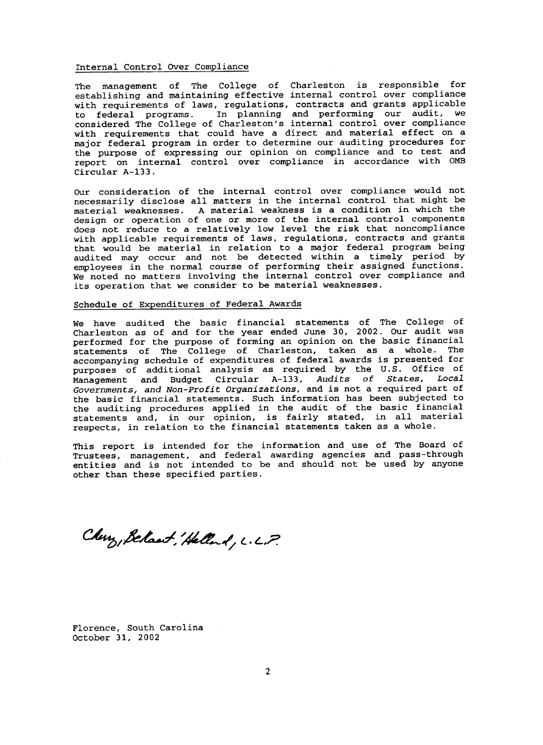### Internal Control Over Compliance

The management of The College of Charleston is responsible for establishing and maintaining effective internal control over compliance with requirements of laws, regulations, contracts and grants applicable<br>to federal programs. In planning and performing our audit, we<br>considered The College of Charleston's internal control over compliance with requirements that could have a direct and material effect on a major federal program in order to determine our auditing procedures for the purpose of expressing our opinion on compliance and to test and report on internal control over compliance in accordance with OMB Circular A-133.

Our consideration of the internal control over compliance would not necessarily disclose all matters in the internal control that might be material weaknesses. A material weakness is a condition in which the design or operation of one or more of the internal control components<br>design or operation of one or more of the internal control components<br>with applicable requirements of laws, regulations, contracts and grants<br>that would employees in the normal course of performing their assigned functions. We noted no matters involving the internal control over compliance and its operation that we consider to be material weaknesses.

## Schedule of Expenditures of Federal Awards

We have audited the basic financial statements of The College of<br>Charleston as of and for the year ended June 30, 2002. Our audit was<br>performed for the purpose of forming an opinion on the basic financial statements of The College of Charleston, taken as a whole. The accompanying schedule of expenditures of federal awards is presented for purposes of additional analysis as required by the U.S. Office of Management and Budget Circular A-133, Audits of States, Local Governments, and Non-Profit Organizations, and is not a required part of the basic financial statements. Such information has been subjected to the auditing procedures applied in the audit of the basic financial<br>statements and, in our opinion, is fairly stated, in all material<br>respects, in relation to the financial statements taken as a whole.

This report is intended for the information and use of The Board of Trustees, management, and federal awarding agencies and pass-through entities and is not intended to be and should not be used by anyone other than these specified parties.

Churz, Belast, Helland, L.L.P.

Florence, South Carolina October 31, 2002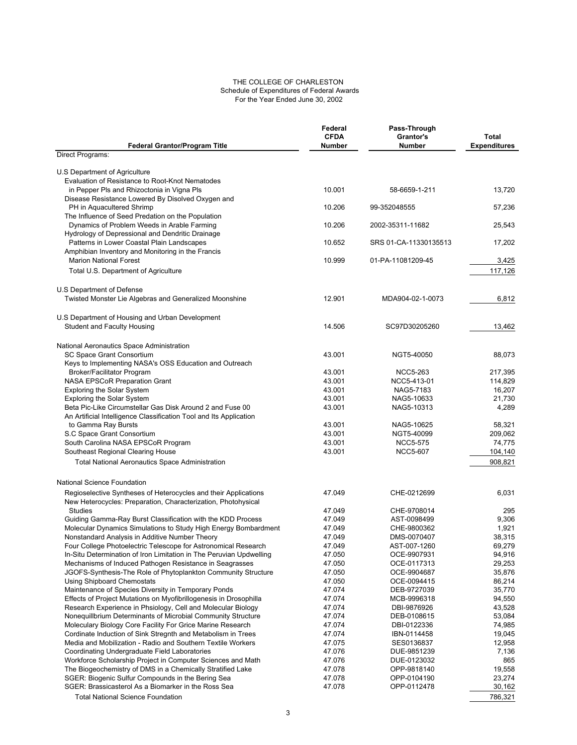| Federal Grantor/Program Title                                                                                                  | Federal<br><b>CFDA</b><br><b>Number</b> | Pass-Through<br>Grantor's<br><b>Number</b> | <b>Total</b><br><b>Expenditures</b> |
|--------------------------------------------------------------------------------------------------------------------------------|-----------------------------------------|--------------------------------------------|-------------------------------------|
| Direct Programs:                                                                                                               |                                         |                                            |                                     |
| U.S Department of Agriculture                                                                                                  |                                         |                                            |                                     |
| Evaluation of Resistance to Root-Knot Nematodes                                                                                |                                         |                                            |                                     |
| in Pepper Pls and Rhizoctonia in Vigna Pls                                                                                     | 10.001                                  | 58-6659-1-211                              | 13,720                              |
| Disease Resistance Lowered By Disolved Oxygen and                                                                              |                                         |                                            |                                     |
| PH in Aquacultered Shrimp                                                                                                      | 10.206                                  | 99-352048555                               | 57,236                              |
| The Influence of Seed Predation on the Population                                                                              |                                         |                                            |                                     |
| Dynamics of Problem Weeds in Arable Farming                                                                                    | 10.206                                  | 2002-35311-11682                           | 25,543                              |
| Hydrology of Depressional and Dendritic Drainage                                                                               |                                         |                                            |                                     |
| Patterns in Lower Coastal Plain Landscapes                                                                                     | 10.652                                  | SRS 01-CA-11330135513                      | 17,202                              |
| Amphibian Inventory and Monitoring in the Francis                                                                              |                                         |                                            |                                     |
| <b>Marion National Forest</b>                                                                                                  | 10.999                                  | 01-PA-11081209-45                          | 3,425                               |
| Total U.S. Department of Agriculture                                                                                           |                                         |                                            | 117,126                             |
| U.S Department of Defense                                                                                                      |                                         |                                            |                                     |
| Twisted Monster Lie Algebras and Generalized Moonshine                                                                         | 12.901                                  | MDA904-02-1-0073                           | 6,812                               |
|                                                                                                                                |                                         |                                            |                                     |
| U.S Department of Housing and Urban Development<br><b>Student and Faculty Housing</b>                                          |                                         |                                            |                                     |
|                                                                                                                                | 14.506                                  | SC97D30205260                              | 13,462                              |
| National Aeronautics Space Administration                                                                                      |                                         |                                            |                                     |
| SC Space Grant Consortium                                                                                                      | 43.001                                  | NGT5-40050                                 | 88,073                              |
| Keys to Implementing NASA's OSS Education and Outreach                                                                         |                                         |                                            |                                     |
| Broker/Facilitator Program                                                                                                     | 43.001                                  | <b>NCC5-263</b>                            | 217,395                             |
| NASA EPSCoR Preparation Grant                                                                                                  | 43.001                                  | NCC5-413-01                                | 114,829                             |
| <b>Exploring the Solar System</b>                                                                                              | 43.001                                  | NAG5-7183                                  | 16,207                              |
| Exploring the Solar System                                                                                                     | 43.001                                  | NAG5-10633                                 | 21,730                              |
| Beta Pic-Like Circumstellar Gas Disk Around 2 and Fuse 00                                                                      | 43.001                                  | NAG5-10313                                 | 4,289                               |
| An Artificial Intelligence Classification Tool and Its Application                                                             |                                         |                                            |                                     |
| to Gamma Ray Bursts                                                                                                            | 43.001                                  | NAG5-10625                                 | 58,321                              |
| S.C Space Grant Consortium                                                                                                     | 43.001<br>43.001                        | NGT5-40099<br><b>NCC5-575</b>              | 209,062                             |
| South Carolina NASA EPSCoR Program<br>Southeast Regional Clearing House                                                        | 43.001                                  | <b>NCC5-607</b>                            | 74,775<br>104,140                   |
| <b>Total National Aeronautics Space Administration</b>                                                                         |                                         |                                            | 908,821                             |
|                                                                                                                                |                                         |                                            |                                     |
| <b>National Science Foundation</b>                                                                                             |                                         |                                            |                                     |
| Regioselective Syntheses of Heterocycles and their Applications                                                                | 47.049                                  | CHE-0212699                                | 6,031                               |
| New Heterocycles: Preparation, Characterization, Photohysical                                                                  |                                         |                                            |                                     |
| Studies                                                                                                                        | 47.049                                  | CHE-9708014                                | 295                                 |
| Guiding Gamma-Ray Burst Classification with the KDD Process                                                                    | 47.049                                  | AST-0098499                                | 9,306                               |
| Molecular Dynamics Simulations to Study High Energy Bombardment                                                                | 47.049                                  | CHE-9800362                                | 1,921                               |
| Nonstandard Analysis in Additive Number Theory                                                                                 | 47.049                                  | DMS-0070407                                | 38,315                              |
| Four College Photoelectric Telescope for Astronomical Research                                                                 | 47.049                                  | AST-007-1260                               | 69,279                              |
| In-Situ Determination of Iron Limitation in The Peruvian Updwelling<br>Mechanisms of Induced Pathogen Resistance in Seagrasses | 47.050<br>47.050                        | OCE-9907931<br>OCE-0117313                 | 94,916<br>29,253                    |
| JGOFS-Synthesis-The Role of Phytoplankton Community Structure                                                                  | 47.050                                  | OCE-9904687                                | 35,876                              |
| Using Shipboard Chemostats                                                                                                     | 47.050                                  | OCE-0094415                                | 86,214                              |
| Maintenance of Species Diversity in Temporary Ponds                                                                            | 47.074                                  | DEB-9727039                                | 35,770                              |
| Effects of Project Mutations on Myofibrillogenesis in Drosophilla                                                              | 47.074                                  | MCB-9996318                                | 94,550                              |
| Research Experience in Phsiology, Cell and Molecular Biology                                                                   | 47.074                                  | DBI-9876926                                | 43,528                              |
| Nonequillbrium Determinants of Microbial Community Structure                                                                   | 47.074                                  | DEB-0108615                                | 53,084                              |
| Moleculary Biology Core Facility For Grice Marine Research                                                                     | 47.074                                  | DBI-0122336                                | 74,985                              |
| Cordinate Induction of Sink Stregnth and Metabolism in Trees                                                                   | 47.074                                  | IBN-0114458                                | 19,045                              |
| Media and Mobilization - Radio and Southern Textile Workers                                                                    | 47.075                                  | SES0136837                                 | 12,958                              |
| Coordinating Undergraduate Field Laboratories                                                                                  | 47.076                                  | DUE-9851239                                | 7,136                               |
| Workforce Scholarship Project in Computer Sciences and Math                                                                    | 47.076                                  | DUE-0123032                                | 865                                 |
| The Biogeochemistry of DMS in a Chemically Stratified Lake<br>SGER: Biogenic Sulfur Compounds in the Bering Sea                | 47.078<br>47.078                        | OPP-9818140<br>OPP-0104190                 | 19,558<br>23,274                    |
| SGER: Brassicasterol As a Biomarker in the Ross Sea                                                                            | 47.078                                  | OPP-0112478                                | 30,162                              |
| <b>Total National Science Foundation</b>                                                                                       |                                         |                                            | 786,321                             |
|                                                                                                                                |                                         |                                            |                                     |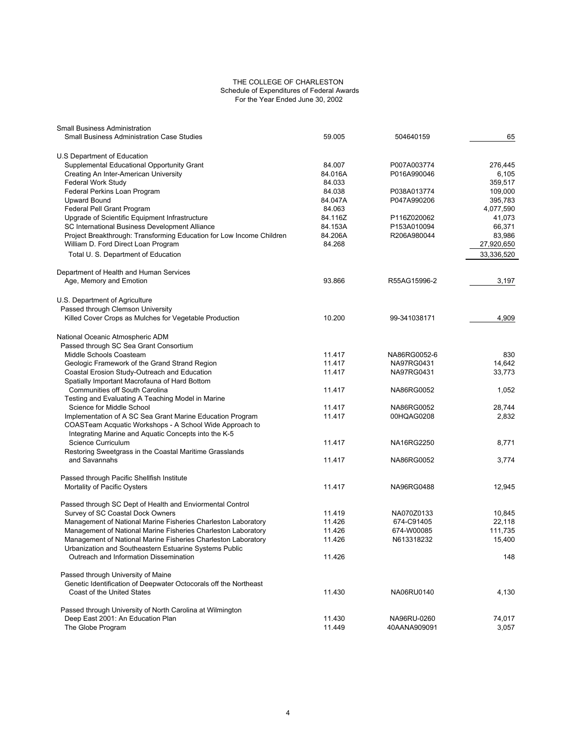| <b>Small Business Administration</b>                                      |         |              |            |
|---------------------------------------------------------------------------|---------|--------------|------------|
| <b>Small Business Administration Case Studies</b>                         | 59.005  | 504640159    | 65         |
|                                                                           |         |              |            |
| U.S Department of Education<br>Supplemental Educational Opportunity Grant | 84.007  | P007A003774  | 276,445    |
|                                                                           | 84.016A | P016A990046  |            |
| Creating An Inter-American University<br>Federal Work Study               |         |              | 6,105      |
|                                                                           | 84.033  |              | 359,517    |
| Federal Perkins Loan Program                                              | 84.038  | P038A013774  | 109,000    |
| <b>Upward Bound</b>                                                       | 84.047A | P047A990206  | 395,783    |
| Federal Pell Grant Program                                                | 84.063  |              | 4,077,590  |
| Upgrade of Scientific Equipment Infrastructure                            | 84.116Z | P116Z020062  | 41,073     |
| SC International Business Development Alliance                            | 84.153A | P153A010094  | 66,371     |
| Project Breakthrough: Transforming Education for Low Income Children      | 84.206A | R206A980044  | 83,986     |
| William D. Ford Direct Loan Program                                       | 84.268  |              | 27,920,650 |
| Total U. S. Department of Education                                       |         |              | 33,336,520 |
| Department of Health and Human Services                                   |         |              |            |
| Age, Memory and Emotion                                                   | 93.866  | R55AG15996-2 | 3,197      |
|                                                                           |         |              |            |
| U.S. Department of Agriculture                                            |         |              |            |
| Passed through Clemson University                                         |         |              |            |
| Killed Cover Crops as Mulches for Vegetable Production                    | 10.200  | 99-341038171 | 4,909      |
| National Oceanic Atmospheric ADM                                          |         |              |            |
| Passed through SC Sea Grant Consortium                                    |         |              |            |
| Middle Schools Coasteam                                                   | 11.417  | NA86RG0052-6 | 830        |
| Geologic Framework of the Grand Strand Region                             | 11.417  | NA97RG0431   | 14,642     |
| Coastal Erosion Study-Outreach and Education                              | 11.417  | NA97RG0431   | 33,773     |
| Spatially Important Macrofauna of Hard Bottom                             |         |              |            |
| <b>Communities off South Carolina</b>                                     | 11.417  | NA86RG0052   | 1.052      |
| Testing and Evaluating A Teaching Model in Marine                         |         |              |            |
| Science for Middle School                                                 | 11.417  | NA86RG0052   | 28,744     |
| Implementation of A SC Sea Grant Marine Education Program                 | 11.417  | 00HQAG0208   | 2,832      |
| COASTeam Acquatic Workshops - A School Wide Approach to                   |         |              |            |
|                                                                           |         |              |            |
| Integrating Marine and Aquatic Concepts into the K-5                      |         |              |            |
| Science Curriculum                                                        | 11.417  | NA16RG2250   | 8,771      |
| Restoring Sweetgrass in the Coastal Maritime Grasslands                   |         |              |            |
| and Savannahs                                                             | 11.417  | NA86RG0052   | 3,774      |
| Passed through Pacific Shellfish Institute                                |         |              |            |
| Mortality of Pacific Oysters                                              | 11.417  | NA96RG0488   | 12,945     |
| Passed through SC Dept of Health and Enviormental Control                 |         |              |            |
| Survey of SC Coastal Dock Owners                                          | 11.419  | NA070Z0133   | 10,845     |
| Management of National Marine Fisheries Charleston Laboratory             | 11.426  | 674-C91405   | 22,118     |
| Management of National Marine Fisheries Charleston Laboratory             | 11.426  | 674-W00085   | 111,735    |
| Management of National Marine Fisheries Charleston Laboratory             | 11.426  | N613318232   | 15,400     |
| Urbanization and Southeastern Estuarine Systems Public                    |         |              |            |
| Outreach and Information Dissemination                                    | 11.426  |              | 148        |
|                                                                           |         |              |            |
| Passed through University of Maine                                        |         |              |            |
| Genetic Identification of Deepwater Octocorals off the Northeast          |         |              |            |
| Coast of the United States                                                | 11.430  | NA06RU0140   | 4,130      |
| Passed through University of North Carolina at Wilmington                 |         |              |            |
| Deep East 2001: An Education Plan                                         | 11.430  | NA96RU-0260  | 74,017     |
| The Globe Program                                                         | 11.449  | 40AANA909091 | 3,057      |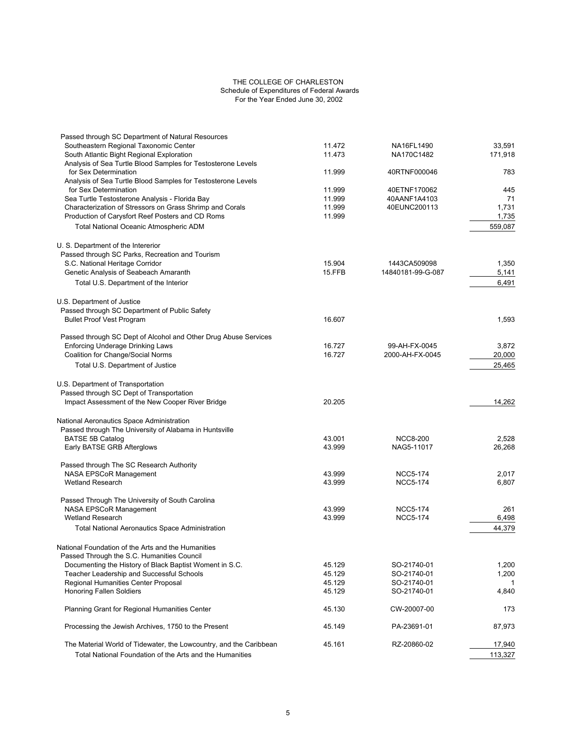| Passed through SC Department of Natural Resources                                                                              |                      |                   |         |
|--------------------------------------------------------------------------------------------------------------------------------|----------------------|-------------------|---------|
| Southeastern Regional Taxonomic Center                                                                                         | 11.472               | NA16FL1490        | 33,591  |
| South Atlantic Bight Regional Exploration                                                                                      | 11.473<br>NA170C1482 |                   | 171,918 |
| Analysis of Sea Turtle Blood Samples for Testosterone Levels                                                                   |                      |                   |         |
| for Sex Determination                                                                                                          | 11.999               | 40RTNF000046      | 783     |
| Analysis of Sea Turtle Blood Samples for Testosterone Levels                                                                   |                      |                   |         |
| for Sex Determination                                                                                                          | 11.999               | 40ETNF170062      | 445     |
| Sea Turtle Testosterone Analysis - Florida Bay                                                                                 | 11.999               | 40AANF1A4103      | 71      |
| Characterization of Stressors on Grass Shrimp and Corals                                                                       | 11.999               | 40EUNC200113      | 1,731   |
| Production of Carysfort Reef Posters and CD Roms                                                                               | 11.999               |                   | 1,735   |
| Total National Oceanic Atmospheric ADM                                                                                         |                      |                   | 559,087 |
| U. S. Department of the Intererior                                                                                             |                      |                   |         |
| Passed through SC Parks, Recreation and Tourism                                                                                |                      |                   |         |
| S.C. National Heritage Corridor                                                                                                | 15.904               | 1443CA509098      | 1,350   |
| Genetic Analysis of Seabeach Amaranth                                                                                          | 15.FFB               | 14840181-99-G-087 | 5,141   |
| Total U.S. Department of the Interior                                                                                          |                      |                   | 6,491   |
| U.S. Department of Justice                                                                                                     |                      |                   |         |
| Passed through SC Department of Public Safety                                                                                  |                      |                   |         |
| <b>Bullet Proof Vest Program</b>                                                                                               | 16.607               |                   | 1,593   |
| Passed through SC Dept of Alcohol and Other Drug Abuse Services                                                                |                      |                   |         |
| <b>Enforcing Underage Drinking Laws</b>                                                                                        | 16.727               | 99-AH-FX-0045     | 3,872   |
| Coalition for Change/Social Norms                                                                                              | 16.727               | 2000-AH-FX-0045   | 20,000  |
| Total U.S. Department of Justice                                                                                               |                      |                   | 25,465  |
| U.S. Department of Transportation                                                                                              |                      |                   |         |
| Passed through SC Dept of Transportation                                                                                       |                      |                   |         |
| Impact Assessment of the New Cooper River Bridge                                                                               | 20.205               |                   | 14,262  |
| National Aeronautics Space Administration                                                                                      |                      |                   |         |
| Passed through The University of Alabama in Huntsville                                                                         |                      |                   |         |
| <b>BATSE 5B Catalog</b>                                                                                                        | 43.001               | <b>NCC8-200</b>   | 2,528   |
| Early BATSE GRB Afterglows                                                                                                     | 43.999               | NAG5-11017        | 26,268  |
| Passed through The SC Research Authority                                                                                       |                      |                   |         |
| NASA EPSCoR Management                                                                                                         | 43.999               | <b>NCC5-174</b>   | 2,017   |
| <b>Wetland Research</b>                                                                                                        | 43.999               | <b>NCC5-174</b>   | 6,807   |
| Passed Through The University of South Carolina                                                                                |                      |                   |         |
| NASA EPSCoR Management                                                                                                         | 43.999               | <b>NCC5-174</b>   | 261     |
| <b>Wetland Research</b>                                                                                                        | 43.999               | <b>NCC5-174</b>   | 6,498   |
| Total National Aeronautics Space Administration                                                                                |                      |                   | 44.379  |
| National Foundation of the Arts and the Humanities                                                                             |                      |                   |         |
| Passed Through the S.C. Humanities Council                                                                                     |                      |                   |         |
| Documenting the History of Black Baptist Woment in S.C.                                                                        | 45.129               | SO-21740-01       | 1,200   |
| Teacher Leadership and Successful Schools                                                                                      | 45.129               | SO-21740-01       | 1,200   |
| Regional Humanities Center Proposal                                                                                            | 45.129               | SO-21740-01       |         |
| Honoring Fallen Soldiers                                                                                                       | 45.129               | SO-21740-01       | 4,840   |
| Planning Grant for Regional Humanities Center                                                                                  | 45.130               | CW-20007-00       | 173     |
| Processing the Jewish Archives, 1750 to the Present                                                                            | 45.149               | PA-23691-01       | 87,973  |
|                                                                                                                                | 45.161               | RZ-20860-02       | 17,940  |
|                                                                                                                                |                      |                   | 113,327 |
| The Material World of Tidewater, the Lowcountry, and the Caribbean<br>Total National Foundation of the Arts and the Humanities |                      |                   |         |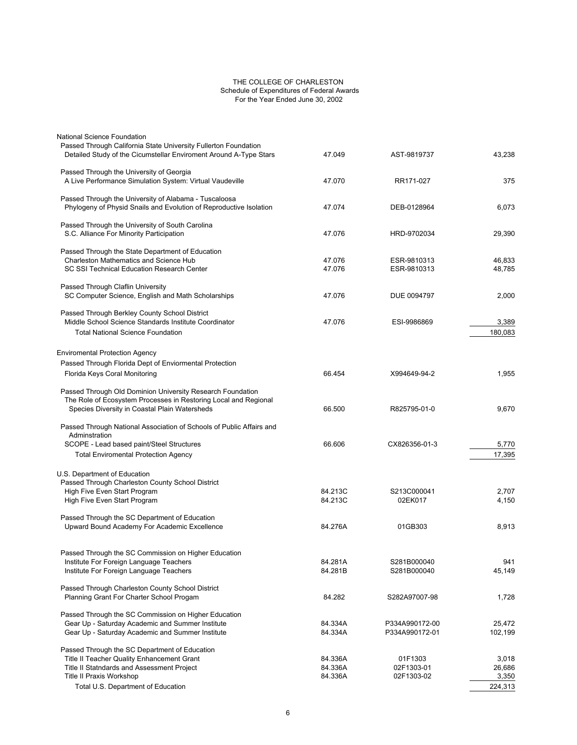| <b>National Science Foundation</b>                                                                       |                    |                       |                 |
|----------------------------------------------------------------------------------------------------------|--------------------|-----------------------|-----------------|
| Passed Through California State University Fullerton Foundation                                          |                    |                       |                 |
| Detailed Study of the Cicumstellar Enviroment Around A-Type Stars                                        | 47.049             | AST-9819737           | 43,238          |
| Passed Through the University of Georgia                                                                 |                    |                       |                 |
| A Live Performance Simulation System: Virtual Vaudeville                                                 | 47.070             | RR171-027             | 375             |
| Passed Through the University of Alabama - Tuscaloosa                                                    |                    |                       |                 |
| Phylogeny of Physid Snails and Evolution of Reproductive Isolation                                       | 47.074             | DEB-0128964           | 6,073           |
| Passed Through the University of South Carolina                                                          |                    |                       |                 |
| S.C. Alliance For Minority Participation                                                                 | 47.076             | HRD-9702034           | 29,390          |
| Passed Through the State Department of Education                                                         |                    |                       |                 |
| <b>Charleston Mathematics and Science Hub</b>                                                            | 47.076             | ESR-9810313           | 46,833          |
| SC SSI Technical Education Research Center                                                               | 47.076             | ESR-9810313           | 48,785          |
|                                                                                                          |                    |                       |                 |
| Passed Through Claflin University<br>SC Computer Science, English and Math Scholarships                  | 47.076             | DUE 0094797           | 2,000           |
|                                                                                                          |                    |                       |                 |
| Passed Through Berkley County School District                                                            |                    |                       |                 |
| Middle School Science Standards Institute Coordinator                                                    | 47.076             | ESI-9986869           | 3,389           |
| <b>Total National Science Foundation</b>                                                                 |                    |                       | 180,083         |
| <b>Enviromental Protection Agency</b>                                                                    |                    |                       |                 |
| Passed Through Florida Dept of Enviormental Protection                                                   |                    |                       |                 |
| Florida Keys Coral Monitoring                                                                            | 66.454             | X994649-94-2          | 1,955           |
| Passed Through Old Dominion University Research Foundation                                               |                    |                       |                 |
| The Role of Ecosystem Processes in Restoring Local and Regional                                          |                    |                       |                 |
| Species Diversity in Coastal Plain Watersheds                                                            | 66.500             | R825795-01-0          | 9,670           |
| Passed Through National Association of Schools of Public Affairs and                                     |                    |                       |                 |
| Adminstration                                                                                            |                    |                       |                 |
| SCOPE - Lead based paint/Steel Structures                                                                | 66.606             | CX826356-01-3         | 5,770           |
| <b>Total Enviromental Protection Agency</b>                                                              |                    |                       | 17,395          |
| U.S. Department of Education                                                                             |                    |                       |                 |
| Passed Through Charleston County School District                                                         |                    |                       |                 |
| High Five Even Start Program                                                                             | 84.213C            | S213C000041           | 2,707           |
| High Five Even Start Program                                                                             | 84.213C            | 02EK017               | 4,150           |
| Passed Through the SC Department of Education                                                            |                    |                       |                 |
| Upward Bound Academy For Academic Excellence                                                             | 84.276A            | 01GB303               | 8,913           |
|                                                                                                          |                    |                       |                 |
| Passed Through the SC Commission on Higher Education                                                     |                    |                       |                 |
| Institute For Foreign Language Teachers                                                                  | 84.281A            | S281B000040           | 941             |
| Institute For Foreign Language Teachers                                                                  | 84.281B            | S281B000040           | 45,149          |
| Passed Through Charleston County School District                                                         |                    |                       |                 |
| Planning Grant For Charter School Progam                                                                 | 84.282             | S282A97007-98         | 1,728           |
|                                                                                                          |                    |                       |                 |
| Passed Through the SC Commission on Higher Education<br>Gear Up - Saturday Academic and Summer Institute | 84.334A            | P334A990172-00        | 25,472          |
| Gear Up - Saturday Academic and Summer Institute                                                         | 84.334A            | P334A990172-01        | 102,199         |
|                                                                                                          |                    |                       |                 |
| Passed Through the SC Department of Education                                                            |                    |                       |                 |
| Title II Teacher Quality Enhancement Grant<br>Title II Statndards and Assessment Project                 | 84.336A<br>84.336A | 01F1303<br>02F1303-01 | 3,018<br>26,686 |
| Title II Praxis Workshop                                                                                 | 84.336A            | 02F1303-02            | 3,350           |
| Total U.S. Department of Education                                                                       |                    |                       | 224,313         |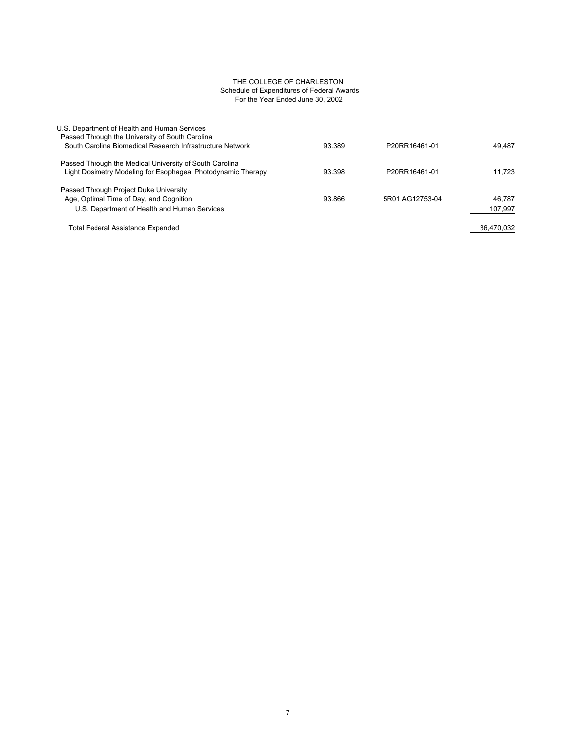| U.S. Department of Health and Human Services                 |        |                 |            |
|--------------------------------------------------------------|--------|-----------------|------------|
| Passed Through the University of South Carolina              |        |                 |            |
| South Carolina Biomedical Research Infrastructure Network    | 93.389 | P20RR16461-01   | 49.487     |
| Passed Through the Medical University of South Carolina      |        |                 |            |
| Light Dosimetry Modeling for Esophageal Photodynamic Therapy | 93.398 | P20RR16461-01   | 11.723     |
| Passed Through Project Duke University                       |        |                 |            |
| Age, Optimal Time of Day, and Cognition                      | 93.866 | 5R01 AG12753-04 | 46,787     |
| U.S. Department of Health and Human Services                 |        |                 | 107,997    |
| Total Federal Assistance Expended                            |        |                 | 36.470.032 |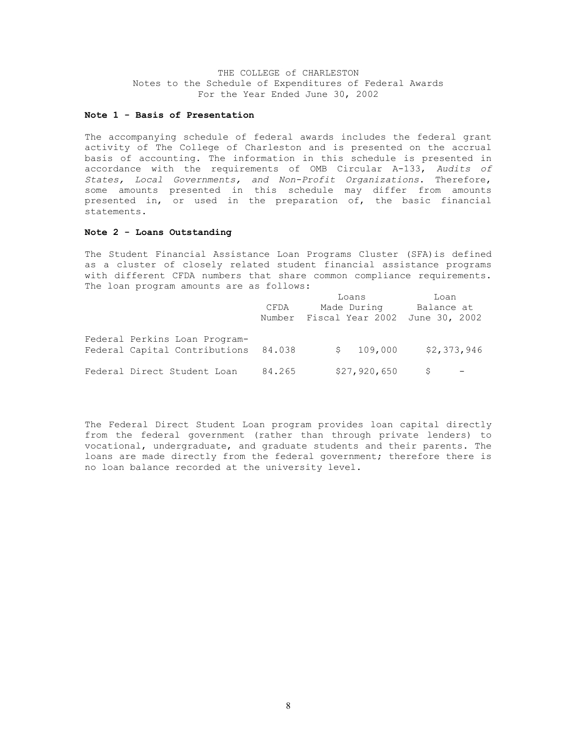## **Note 1 - Basis of Presentation**

The accompanying schedule of federal awards includes the federal grant activity of The College of Charleston and is presented on the accrual basis of accounting. The information in this schedule is presented in accordance with the requirements of OMB Circular A-133, *Audits of States, Local Governments, and Non-Profit Organizations*. Therefore, some amounts presented in this schedule may differ from amounts presented in, or used in the preparation of, the basic financial statements.

## **Note 2 - Loans Outstanding**

The Student Financial Assistance Loan Programs Cluster (SFA)is defined as a cluster of closely related student financial assistance programs with different CFDA numbers that share common compliance requirements. The loan program amounts are as follows:

|                                      |        | Loans                   | Loan          |
|--------------------------------------|--------|-------------------------|---------------|
|                                      | CFDA   | Made During             | Balance at    |
|                                      |        | Number Fiscal Year 2002 | June 30, 2002 |
|                                      |        |                         |               |
| Federal Perkins Loan Program-        |        |                         |               |
| Federal Capital Contributions 84.038 |        | \$109,000               | \$2,373,946   |
|                                      |        |                         |               |
| Federal Direct Student Loan          | 84.265 | \$27,920,650            | S             |

The Federal Direct Student Loan program provides loan capital directly from the federal government (rather than through private lenders) to vocational, undergraduate, and graduate students and their parents. The loans are made directly from the federal government; therefore there is no loan balance recorded at the university level.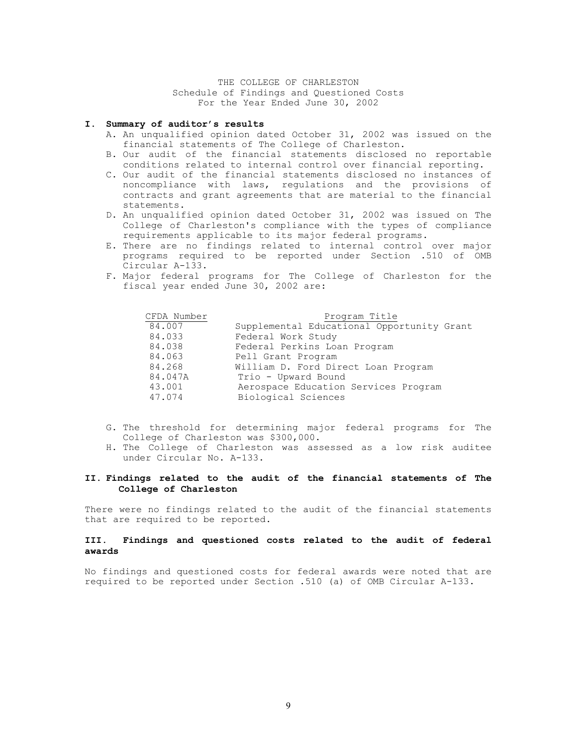THE COLLEGE OF CHARLESTON Schedule of Findings and Questioned Costs For the Year Ended June 30, 2002

### **I. Summary of auditor's results**

- A. An unqualified opinion dated October 31, 2002 was issued on the financial statements of The College of Charleston.
- B. Our audit of the financial statements disclosed no reportable conditions related to internal control over financial reporting.
- C. Our audit of the financial statements disclosed no instances of noncompliance with laws, regulations and the provisions of contracts and grant agreements that are material to the financial statements.
- D. An unqualified opinion dated October 31, 2002 was issued on The College of Charleston's compliance with the types of compliance requirements applicable to its major federal programs.
- E. There are no findings related to internal control over major programs required to be reported under Section .510 of OMB Circular A-133.
- F. Major federal programs for The College of Charleston for the fiscal year ended June 30, 2002 are:

| CFDA Number | Program Title                              |
|-------------|--------------------------------------------|
| 84.007      | Supplemental Educational Opportunity Grant |
| 84.033      | Federal Work Study                         |
| 84.038      | Federal Perkins Loan Program               |
| 84.063      | Pell Grant Program                         |
| 84.268      | William D. Ford Direct Loan Program        |
| 84.047A     | Trio - Upward Bound                        |
| 43.001      | Aerospace Education Services Program       |
| 47.074      | Biological Sciences                        |

- G. The threshold for determining major federal programs for The College of Charleston was \$300,000.
- H. The College of Charleston was assessed as a low risk auditee under Circular No. A-133.
- **II. Findings related to the audit of the financial statements of The College of Charleston**

There were no findings related to the audit of the financial statements that are required to be reported.

## **III. Findings and questioned costs related to the audit of federal awards**

No findings and questioned costs for federal awards were noted that are required to be reported under Section .510 (a) of OMB Circular A-133.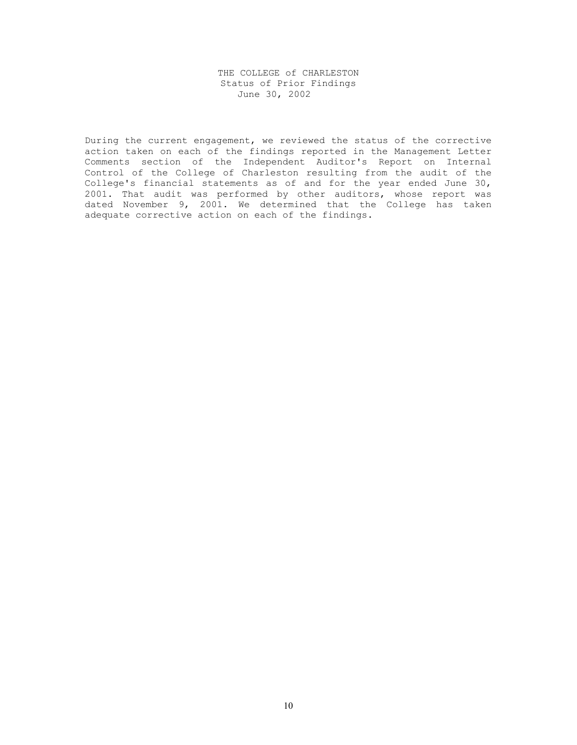## THE COLLEGE of CHARLESTON Status of Prior Findings June 30, 2002

During the current engagement, we reviewed the status of the corrective action taken on each of the findings reported in the Management Letter Comments section of the Independent Auditor's Report on Internal Control of the College of Charleston resulting from the audit of the College's financial statements as of and for the year ended June 30, 2001. That audit was performed by other auditors, whose report was dated November 9, 2001. We determined that the College has taken adequate corrective action on each of the findings.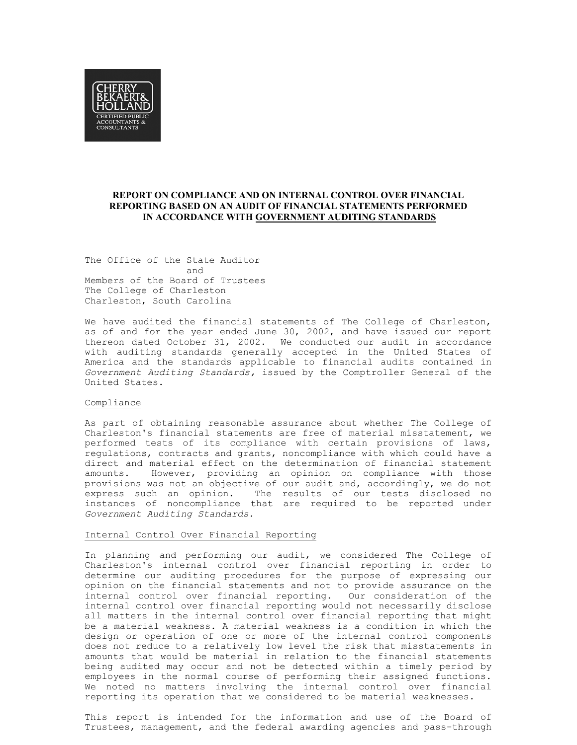

## **REPORT ON COMPLIANCE AND ON INTERNAL CONTROL OVER FINANCIAL REPORTING BASED ON AN AUDIT OF FINANCIAL STATEMENTS PERFORMED IN ACCORDANCE WITH GOVERNMENT AUDITING STANDARDS**

The Office of the State Auditor and Members of the Board of Trustees The College of Charleston Charleston, South Carolina

We have audited the financial statements of The College of Charleston, as of and for the year ended June 30, 2002, and have issued our report thereon dated October 31, 2002. We conducted our audit in accordance with auditing standards generally accepted in the United States of America and the standards applicable to financial audits contained in *Government Auditing Standards,* issued by the Comptroller General of the United States.

## Compliance

As part of obtaining reasonable assurance about whether The College of Charleston's financial statements are free of material misstatement, we performed tests of its compliance with certain provisions of laws, regulations, contracts and grants, noncompliance with which could have a direct and material effect on the determination of financial statement amounts. However, providing an opinion on compliance with those provisions was not an objective of our audit and, accordingly, we do not express such an opinion. The results of our tests disclosed no instances of noncompliance that are required to be reported under *Government Auditing Standards.*

#### Internal Control Over Financial Reporting

In planning and performing our audit, we considered The College of Charleston's internal control over financial reporting in order to determine our auditing procedures for the purpose of expressing our opinion on the financial statements and not to provide assurance on the internal control over financial reporting. Our consideration of the internal control over financial reporting would not necessarily disclose all matters in the internal control over financial reporting that might be a material weakness. A material weakness is a condition in which the design or operation of one or more of the internal control components does not reduce to a relatively low level the risk that misstatements in amounts that would be material in relation to the financial statements being audited may occur and not be detected within a timely period by employees in the normal course of performing their assigned functions. We noted no matters involving the internal control over financial reporting its operation that we considered to be material weaknesses.

This report is intended for the information and use of the Board of Trustees, management, and the federal awarding agencies and pass-through